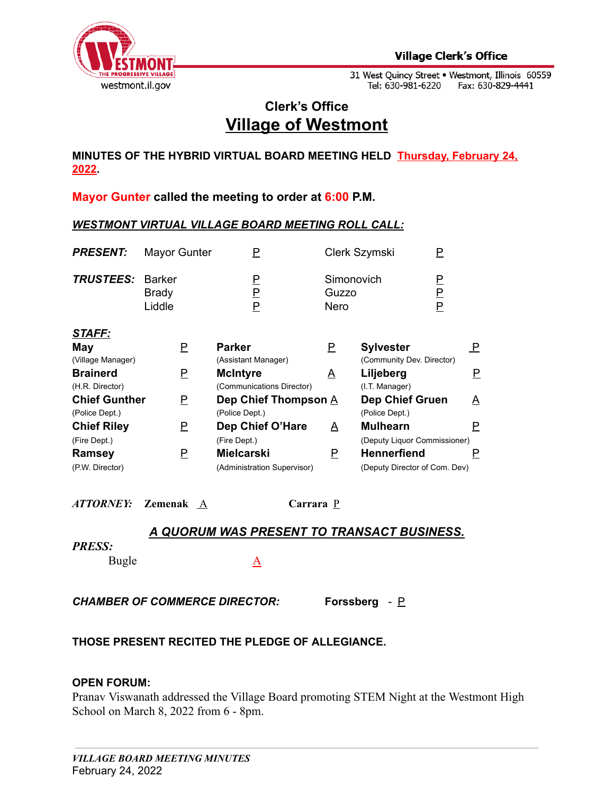

31 West Quincy Street . Westmont, Illinois 60559 Tel: 630-981-6220 Fax: 630-829-4441

# **Clerk's Office Village of Westmont**

**MINUTES OF THE HYBRID VIRTUAL BOARD MEETING HELD Thursday, February 24, 2022.**

**Mayor Gunter called the meeting to order at 6:00 P.M.**

### *WESTMONT VIRTUAL VILLAGE BOARD MEETING ROLL CALL:*

| <b>PRESENT:</b>         | <b>Mayor Gunter</b>    |             | Clerk Szymski               |             |
|-------------------------|------------------------|-------------|-----------------------------|-------------|
| <b>TRUSTEES: Barker</b> | <b>Brady</b><br>Liddle | P<br>P<br>Р | Simonovich<br>Guzzo<br>Nero | Р<br>P<br>P |
| STAFF:                  |                        |             |                             |             |

| May                  |   | <b>Parker</b>               |   | <b>Sylvester</b>              |   |
|----------------------|---|-----------------------------|---|-------------------------------|---|
| (Village Manager)    |   | (Assistant Manager)         |   | (Community Dev. Director)     |   |
| <b>Brainerd</b>      | Р | <b>McIntyre</b>             | A | Liljeberg                     |   |
| (H.R. Director)      |   | (Communications Director)   |   | (I.T. Manager)                |   |
| <b>Chief Gunther</b> | P | Dep Chief Thompson A        |   | <b>Dep Chief Gruen</b>        | A |
| (Police Dept.)       |   | (Police Dept.)              |   | (Police Dept.)                |   |
| <b>Chief Riley</b>   | P | Dep Chief O'Hare            | A | <b>Mulhearn</b>               |   |
| (Fire Dept.)         |   | (Fire Dept.)                |   | (Deputy Liquor Commissioner)  |   |
| Ramsey               | Р | <b>Mielcarski</b>           | P | <b>Hennerfiend</b>            |   |
| (P.W. Director)      |   | (Administration Supervisor) |   | (Deputy Director of Com. Dev) |   |

*ATTORNEY:* **Zemenak** A **Carrara** P

## *A QUORUM WAS PRESENT TO TRANSACT BUSINESS.*

### *PRESS:*

Bugle A

*CHAMBER OF COMMERCE DIRECTOR:* **Forssberg** *-* P

## **THOSE PRESENT RECITED THE PLEDGE OF ALLEGIANCE.**

### **OPEN FORUM:**

Pranav Viswanath addressed the Village Board promoting STEM Night at the Westmont High School on March 8, 2022 from 6 - 8pm.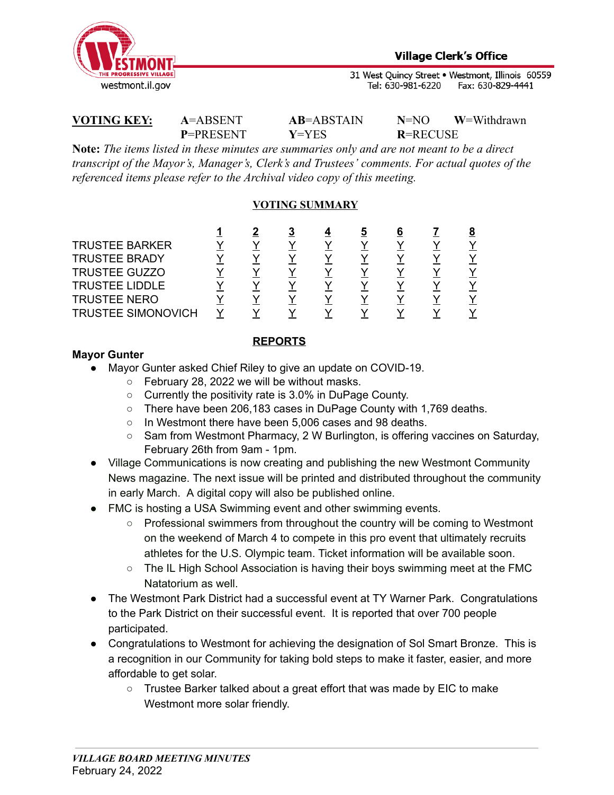

31 West Quincy Street . Westmont, Illinois 60559 Tel: 630-981-6220 Fax: 630-829-4441

## **VOTING KEY: A**=ABSENT **AB**=ABSTAIN **N**=NO **W**=Withdrawn

**P**=PRESENT **Y**=YES **R**=RECUSE

**Note:** *The items listed in these minutes are summaries only and are not meant to be a direct transcript of the Mayor's, Manager's, Clerk's and Trustees' comments. For actual quotes of the referenced items please refer to the Archival video copy of this meeting.*

## **VOTING SUMMARY**

|                           |  | 3 | b | b |  |
|---------------------------|--|---|---|---|--|
| <b>TRUSTEE BARKER</b>     |  |   |   |   |  |
| <b>TRUSTEE BRADY</b>      |  |   |   |   |  |
| <b>TRUSTEE GUZZO</b>      |  |   |   |   |  |
| <b>TRUSTEE LIDDLE</b>     |  |   |   |   |  |
| <b>TRUSTEE NERO</b>       |  |   |   |   |  |
| <b>TRUSTEE SIMONOVICH</b> |  |   |   |   |  |

## **REPORTS**

## **Mayor Gunter**

- Mayor Gunter asked Chief Riley to give an update on COVID-19.
	- February 28, 2022 we will be without masks.
	- Currently the positivity rate is 3.0% in DuPage County.
	- There have been 206,183 cases in DuPage County with 1,769 deaths.
	- In Westmont there have been 5,006 cases and 98 deaths.
	- Sam from Westmont Pharmacy, 2 W Burlington, is offering vaccines on Saturday, February 26th from 9am - 1pm.
- Village Communications is now creating and publishing the new Westmont Community News magazine. The next issue will be printed and distributed throughout the community in early March. A digital copy will also be published online.
- FMC is hosting a USA Swimming event and other swimming events.
	- Professional swimmers from throughout the country will be coming to Westmont on the weekend of March 4 to compete in this pro event that ultimately recruits athletes for the U.S. Olympic team. Ticket information will be available soon.
	- The IL High School Association is having their boys swimming meet at the FMC Natatorium as well.
- The Westmont Park District had a successful event at TY Warner Park. Congratulations to the Park District on their successful event. It is reported that over 700 people participated.
- Congratulations to Westmont for achieving the designation of Sol Smart Bronze. This is a recognition in our Community for taking bold steps to make it faster, easier, and more affordable to get solar.
	- Trustee Barker talked about a great effort that was made by EIC to make Westmont more solar friendly.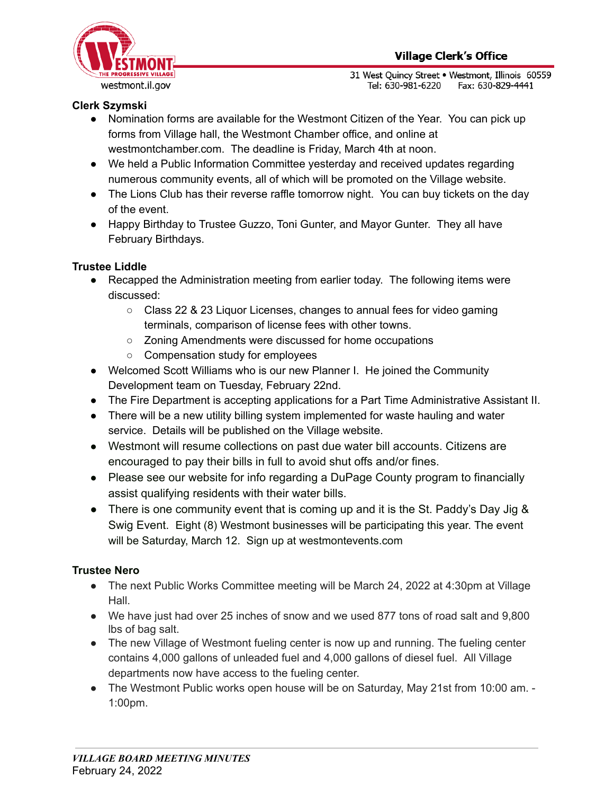

31 West Quincy Street . Westmont, Illinois 60559 Tel: 630-981-6220 Fax: 630-829-4441

## **Clerk Szymski**

- Nomination forms are available for the Westmont Citizen of the Year. You can pick up forms from Village hall, the Westmont Chamber office, and online at westmontchamber.com. The deadline is Friday, March 4th at noon.
- We held a Public Information Committee yesterday and received updates regarding numerous community events, all of which will be promoted on the Village website.
- The Lions Club has their reverse raffle tomorrow night. You can buy tickets on the day of the event.
- Happy Birthday to Trustee Guzzo, Toni Gunter, and Mayor Gunter. They all have February Birthdays.

## **Trustee Liddle**

- **●** Recapped the Administration meeting from earlier today. The following items were discussed:
	- Class 22 & 23 Liquor Licenses, changes to annual fees for video gaming terminals, comparison of license fees with other towns.
	- Zoning Amendments were discussed for home occupations
	- Compensation study for employees
- Welcomed Scott Williams who is our new Planner I. He joined the Community Development team on Tuesday, February 22nd.
- The Fire Department is accepting applications for a Part Time Administrative Assistant II.
- There will be a new utility billing system implemented for waste hauling and water service. Details will be published on the Village website.
- Westmont will resume collections on past due water bill accounts. Citizens are encouraged to pay their bills in full to avoid shut offs and/or fines.
- Please see our website for info regarding a DuPage County program to financially assist qualifying residents with their water bills.
- There is one community event that is coming up and it is the St. Paddy's Day Jig  $\&$ Swig Event. Eight (8) Westmont businesses will be participating this year. The event will be Saturday, March 12. Sign up at westmontevents.com

## **Trustee Nero**

- The next Public Works Committee meeting will be March 24, 2022 at 4:30pm at Village Hall.
- We have just had over 25 inches of snow and we used 877 tons of road salt and 9,800 lbs of bag salt.
- The new Village of Westmont fueling center is now up and running. The fueling center contains 4,000 gallons of unleaded fuel and 4,000 gallons of diesel fuel. All Village departments now have access to the fueling center.
- The Westmont Public works open house will be on Saturday, May 21st from 10:00 am. -1:00pm.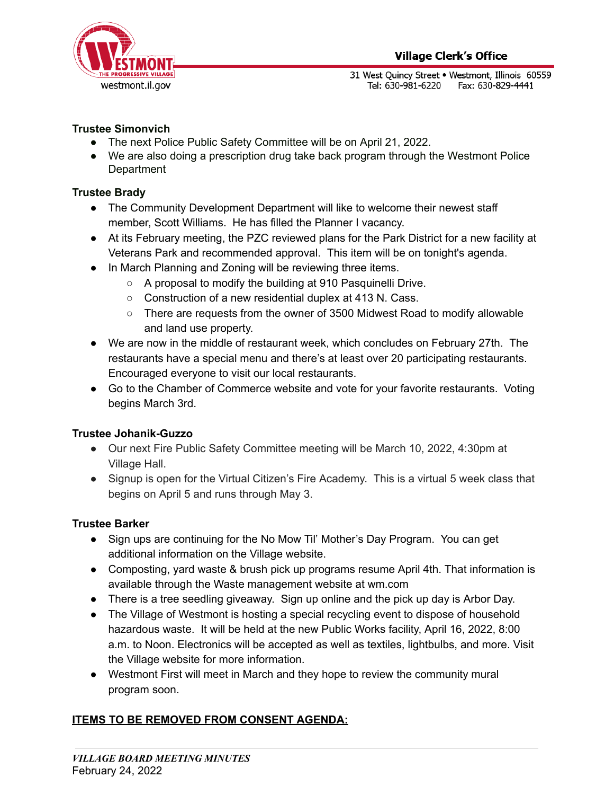31 West Quincy Street . Westmont, Illinois 60559 Tel: 630-981-6220 Fax: 630-829-4441

## **Trustee Simonvich**

- The next Police Public Safety Committee will be on April 21, 2022.
- We are also doing a prescription drug take back program through the Westmont Police **Department**

## **Trustee Brady**

- The Community Development Department will like to welcome their newest staff member, Scott Williams. He has filled the Planner I vacancy.
- At its February meeting, the PZC reviewed plans for the Park District for a new facility at Veterans Park and recommended approval. This item will be on tonight's agenda.
- In March Planning and Zoning will be reviewing three items.
	- A proposal to modify the building at 910 Pasquinelli Drive.
	- Construction of a new residential duplex at 413 N. Cass.
	- There are requests from the owner of 3500 Midwest Road to modify allowable and land use property.
- We are now in the middle of restaurant week, which concludes on February 27th. The restaurants have a special menu and there's at least over 20 participating restaurants. Encouraged everyone to visit our local restaurants.
- Go to the Chamber of Commerce website and vote for your favorite restaurants. Voting begins March 3rd.

## **Trustee Johanik-Guzzo**

- Our next Fire Public Safety Committee meeting will be March 10, 2022, 4:30pm at Village Hall.
- Signup is open for the Virtual Citizen's Fire Academy. This is a virtual 5 week class that begins on April 5 and runs through May 3.

## **Trustee Barker**

- Sign ups are continuing for the No Mow Til' Mother's Day Program. You can get additional information on the Village website.
- Composting, yard waste & brush pick up programs resume April 4th. That information is available through the Waste management website at wm.com
- There is a tree seedling giveaway. Sign up online and the pick up day is Arbor Day.
- The Village of Westmont is hosting a special recycling event to dispose of household hazardous waste. It will be held at the new Public Works facility, April 16, 2022, 8:00 a.m. to Noon. Electronics will be accepted as well as textiles, lightbulbs, and more. Visit the Village website for more information.
- Westmont First will meet in March and they hope to review the community mural program soon.

## **ITEMS TO BE REMOVED FROM CONSENT AGENDA:**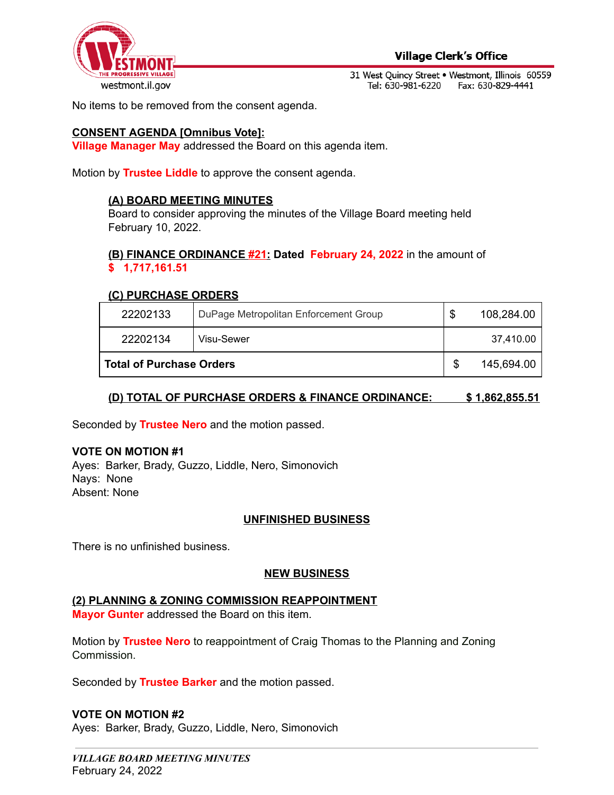

31 West Quincy Street . Westmont, Illinois 60559 Tel: 630-981-6220 Fax: 630-829-4441

No items to be removed from the consent agenda.

#### **CONSENT AGENDA [Omnibus Vote]:**

**Village Manager May** addressed the Board on this agenda item.

Motion by **Trustee Liddle** to approve the consent agenda.

#### **(A) BOARD MEETING MINUTES**

Board to consider approving the minutes of the Village Board meeting held February 10, 2022.

#### **(B) FINANCE ORDINANCE #21: Dated February 24, 2022** in the amount of **\$ 1,717,161.51**

#### **(C) PURCHASE ORDERS**

| 22202133                        | DuPage Metropolitan Enforcement Group | \$ | 108,284.00 |
|---------------------------------|---------------------------------------|----|------------|
| 22202134                        | Visu-Sewer                            |    | 37.410.00  |
| <b>Total of Purchase Orders</b> |                                       |    | 145,694.00 |

### **(D) TOTAL OF PURCHASE ORDERS & FINANCE ORDINANCE: \$ 1,862,855.51**

Seconded by **Trustee Nero** and the motion passed.

#### **VOTE ON MOTION #1**

Ayes: Barker, Brady, Guzzo, Liddle, Nero, Simonovich Nays: None Absent: None

#### **UNFINISHED BUSINESS**

There is no unfinished business.

#### **NEW BUSINESS**

#### **(2) PLANNING & ZONING COMMISSION REAPPOINTMENT**

**Mayor Gunter** addressed the Board on this item.

Motion by **Trustee Nero** to reappointment of Craig Thomas to the Planning and Zoning Commission.

Seconded by **Trustee Barker** and the motion passed.

#### **VOTE ON MOTION #2**

Ayes: Barker, Brady, Guzzo, Liddle, Nero, Simonovich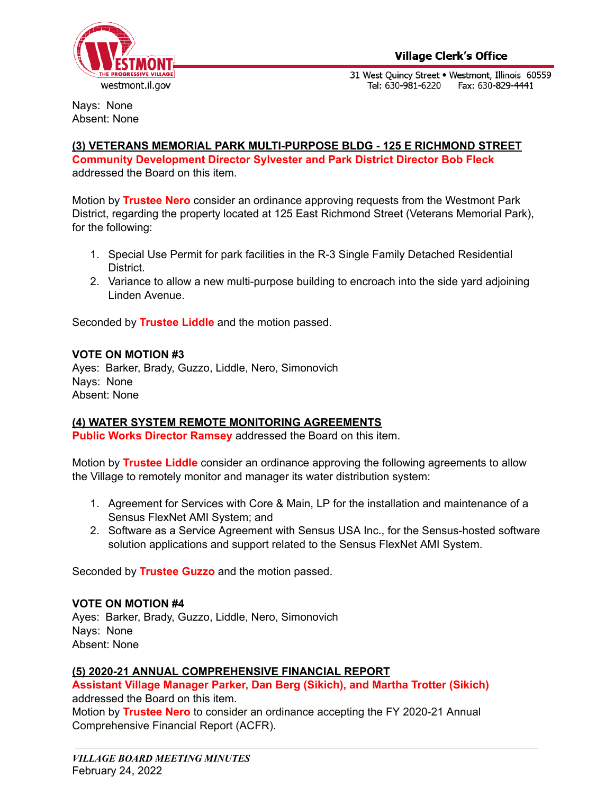

31 West Quincy Street . Westmont, Illinois 60559 Tel: 630-981-6220 Fax: 630-829-4441

Nays: None Absent: None

#### **(3) VETERANS MEMORIAL PARK MULTI-PURPOSE BLDG - 125 E RICHMOND STREET Community Development Director Sylvester and Park District Director Bob Fleck** addressed the Board on this item.

Motion by **Trustee Nero** consider an ordinance approving requests from the Westmont Park District, regarding the property located at 125 East Richmond Street (Veterans Memorial Park), for the following:

- 1. Special Use Permit for park facilities in the R-3 Single Family Detached Residential District.
- 2. Variance to allow a new multi-purpose building to encroach into the side yard adjoining Linden Avenue.

Seconded by **Trustee Liddle** and the motion passed.

### **VOTE ON MOTION #3**

Ayes: Barker, Brady, Guzzo, Liddle, Nero, Simonovich Nays: None Absent: None

## **(4) WATER SYSTEM REMOTE MONITORING AGREEMENTS**

**Public Works Director Ramsey** addressed the Board on this item.

Motion by **Trustee Liddle** consider an ordinance approving the following agreements to allow the Village to remotely monitor and manager its water distribution system:

- 1. Agreement for Services with Core & Main, LP for the installation and maintenance of a Sensus FlexNet AMI System; and
- 2. Software as a Service Agreement with Sensus USA Inc., for the Sensus-hosted software solution applications and support related to the Sensus FlexNet AMI System.

Seconded by **Trustee Guzzo** and the motion passed.

## **VOTE ON MOTION #4**

Ayes: Barker, Brady, Guzzo, Liddle, Nero, Simonovich Nays: None Absent: None

### **(5) 2020-21 ANNUAL COMPREHENSIVE FINANCIAL REPORT**

**Assistant Village Manager Parker, Dan Berg (Sikich), and Martha Trotter (Sikich)** addressed the Board on this item.

Motion by **Trustee Nero** to consider an ordinance accepting the FY 2020-21 Annual Comprehensive Financial Report (ACFR).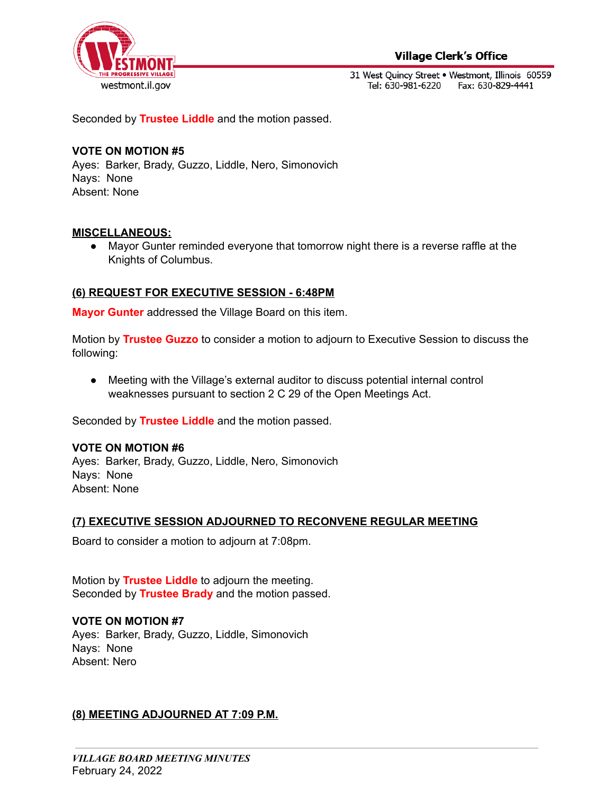

### **Village Clerk's Office**

31 West Quincy Street . Westmont, Illinois 60559 Tel: 630-981-6220 Fax: 630-829-4441

Seconded by **Trustee Liddle** and the motion passed.

#### **VOTE ON MOTION #5**

Ayes: Barker, Brady, Guzzo, Liddle, Nero, Simonovich Nays: None Absent: None

#### **MISCELLANEOUS:**

● Mayor Gunter reminded everyone that tomorrow night there is a reverse raffle at the Knights of Columbus.

### **(6) REQUEST FOR EXECUTIVE SESSION - 6:48PM**

**Mayor Gunter** addressed the Village Board on this item.

Motion by **Trustee Guzzo** to consider a motion to adjourn to Executive Session to discuss the following:

● Meeting with the Village's external auditor to discuss potential internal control weaknesses pursuant to section 2 C 29 of the Open Meetings Act.

Seconded by **Trustee Liddle** and the motion passed.

#### **VOTE ON MOTION #6**

Ayes: Barker, Brady, Guzzo, Liddle, Nero, Simonovich Nays: None Absent: None

#### **(7) EXECUTIVE SESSION ADJOURNED TO RECONVENE REGULAR MEETING**

Board to consider a motion to adjourn at 7:08pm.

Motion by **Trustee Liddle** to adjourn the meeting. Seconded by **Trustee Brady** and the motion passed.

#### **VOTE ON MOTION #7**

Ayes: Barker, Brady, Guzzo, Liddle, Simonovich Nays: None Absent: Nero

#### **(8) MEETING ADJOURNED AT 7:09 P.M.**